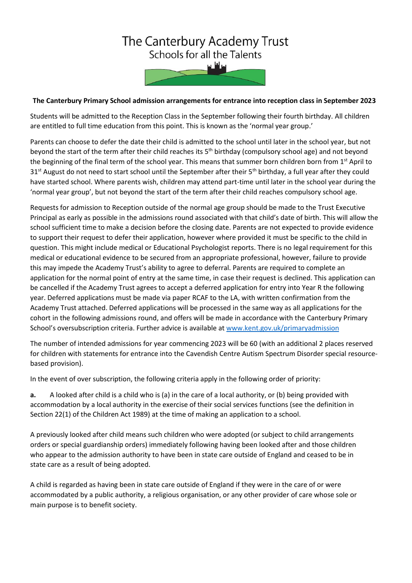## The Canterbury Academy Trust Schools for all the Talents

## **The Canterbury Primary School admission arrangements for entrance into reception class in September 2023**

Students will be admitted to the Reception Class in the September following their fourth birthday. All children are entitled to full time education from this point. This is known as the 'normal year group.'

Parents can choose to defer the date their child is admitted to the school until later in the school year, but not beyond the start of the term after their child reaches its 5<sup>th</sup> birthday (compulsory school age) and not beyond the beginning of the final term of the school year. This means that summer born children born from 1<sup>st</sup> April to 31<sup>st</sup> August do not need to start school until the September after their 5<sup>th</sup> birthday, a full year after they could have started school. Where parents wish, children may attend part-time until later in the school year during the 'normal year group', but not beyond the start of the term after their child reaches compulsory school age.

Requests for admission to Reception outside of the normal age group should be made to the Trust Executive Principal as early as possible in the admissions round associated with that child's date of birth. This will allow the school sufficient time to make a decision before the closing date. Parents are not expected to provide evidence to support their request to defer their application, however where provided it must be specific to the child in question. This might include medical or Educational Psychologist reports. There is no legal requirement for this medical or educational evidence to be secured from an appropriate professional, however, failure to provide this may impede the Academy Trust's ability to agree to deferral. Parents are required to complete an application for the normal point of entry at the same time, in case their request is declined. This application can be cancelled if the Academy Trust agrees to accept a deferred application for entry into Year R the following year. Deferred applications must be made via paper RCAF to the LA, with written confirmation from the Academy Trust attached. Deferred applications will be processed in the same way as all applications for the cohort in the following admissions round, and offers will be made in accordance with the Canterbury Primary School's oversubscription criteria. Further advice is available at [www.kent.gov.uk/primaryadmission](http://www.kent.gov.uk/primaryadmission)

The number of intended admissions for year commencing 2023 will be 60 (with an additional 2 places reserved for children with statements for entrance into the Cavendish Centre Autism Spectrum Disorder special resourcebased provision).

In the event of over subscription, the following criteria apply in the following order of priority:

**a.** A looked after child is a child who is (a) in the care of a local authority, or (b) being provided with accommodation by a local authority in the exercise of their social services functions (see the definition in Section 22(1) of the Children Act 1989) at the time of making an application to a school.

A previously looked after child means such children who were adopted (or subject to child arrangements orders or special guardianship orders) immediately following having been looked after and those children who appear to the admission authority to have been in state care outside of England and ceased to be in state care as a result of being adopted.

A child is regarded as having been in state care outside of England if they were in the care of or were accommodated by a public authority, a religious organisation, or any other provider of care whose sole or main purpose is to benefit society.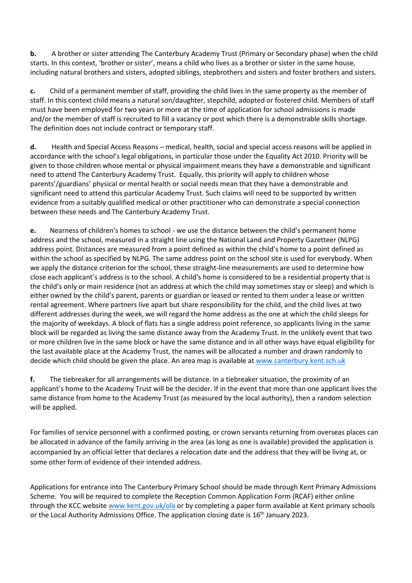**b.** A brother or sister attending The Canterbury Academy Trust (Primary or Secondary phase) when the child starts. In this context, 'brother or sister', means a child who lives as a brother or sister in the same house, including natural brothers and sisters, adopted siblings, stepbrothers and sisters and foster brothers and sisters.

**c.** Child of a permanent member of staff, providing the child lives in the same property as the member of staff. In this context child means a natural son/daughter, stepchild, adopted or fostered child. Members of staff must have been employed for two years or more at the time of application for school admissions is made and/or the member of staff is recruited to fill a vacancy or post which there is a demonstrable skills shortage. The definition does not include contract or temporary staff.

**d.** Health and Special Access Reasons – medical, health, social and special access reasons will be applied in accordance with the school's legal obligations, in particular those under the Equality Act 2010. Priority will be given to those children whose mental or physical impairment means they have a demonstrable and significant need to attend The Canterbury Academy Trust. Equally, this priority will apply to children whose parents'/guardians' physical or mental health or social needs mean that they have a demonstrable and significant need to attend this particular Academy Trust. Such claims will need to be supported by written evidence from a suitably qualified medical or other practitioner who can demonstrate a special connection between these needs and The Canterbury Academy Trust.

**e.** Nearness of children's homes to school - we use the distance between the child's permanent home address and the school, measured in a straight line using the National Land and Property Gazetteer (NLPG) address point. Distances are measured from a point defined as within the child's home to a point defined as within the school as specified by NLPG. The same address point on the school site is used for everybody. When we apply the distance criterion for the school, these straight-line measurements are used to determine how close each applicant's address is to the school. A child's home is considered to be a residential property that is the child's only or main residence (not an address at which the child may sometimes stay or sleep) and which is either owned by the child's parent, parents or guardian or leased or rented to them under a lease or written rental agreement. Where partners live apart but share responsibility for the child, and the child lives at two different addresses during the week, we will regard the home address as the one at which the child sleeps for the majority of weekdays. A block of flats has a single address point reference, so applicants living in the same block will be regarded as living the same distance away from the Academy Trust. In the unlikely event that two or more children live in the same block or have the same distance and in all other ways have equal eligibility for the last available place at the Academy Trust, the names will be allocated a number and drawn randomly to decide which child should be given the place. An area map is available at [www.canterbury.kent.sch.uk](http://www.canterbury.kent.sch.uk/)

**f.** The tiebreaker for all arrangements will be distance. In a tiebreaker situation, the proximity of an applicant's home to the Academy Trust will be the decider. If in the event that more than one applicant lives the same distance from home to the Academy Trust (as measured by the local authority), then a random selection will be applied.

For families of service personnel with a confirmed posting, or crown servants returning from overseas places can be allocated in advance of the family arriving in the area (as long as one is available) provided the application is accompanied by an official letter that declares a relocation date and the address that they will be living at, or some other form of evidence of their intended address.

Applications for entrance into The Canterbury Primary School should be made through Kent Primary Admissions Scheme. You will be required to complete the Reception Common Application Form (RCAF) either online through the KCC website [www.kent.gov.uk/ola](http://www.kent.gov.uk/ola) or by completing a paper form available at Kent primary schools or the Local Authority Admissions Office. The application closing date is 16<sup>th</sup> January 2023.